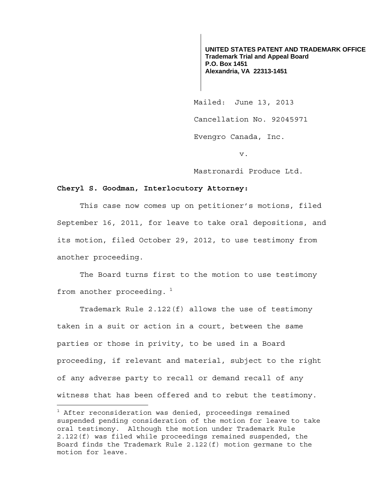**UNITED STATES PATENT AND TRADEMARK OFFICE Trademark Trial and Appeal Board P.O. Box 1451 Alexandria, VA 22313-1451**

 Mailed: June 13, 2013 Cancellation No. 92045971 Evengro Canada, Inc.

v.

Mastronardi Produce Ltd.

## **Cheryl S. Goodman, Interlocutory Attorney:**

This case now comes up on petitioner's motions, filed September 16, 2011, for leave to take oral depositions, and its motion, filed October 29, 2012, to use testimony from another proceeding.

 The Board turns first to the motion to use testimony from another proceeding.  $1$ 

Trademark Rule 2.122(f) allows the use of testimony taken in a suit or action in a court, between the same parties or those in privity, to be used in a Board proceeding, if relevant and material, subject to the right of any adverse party to recall or demand recall of any witness that has been offered and to rebut the testimony.

 $^{\rm 1}$  After reconsideration was denied, proceedings remained suspended pending consideration of the motion for leave to take oral testimony. Although the motion under Trademark Rule 2.122(f) was filed while proceedings remained suspended, the Board finds the Trademark Rule 2.122(f) motion germane to the motion for leave.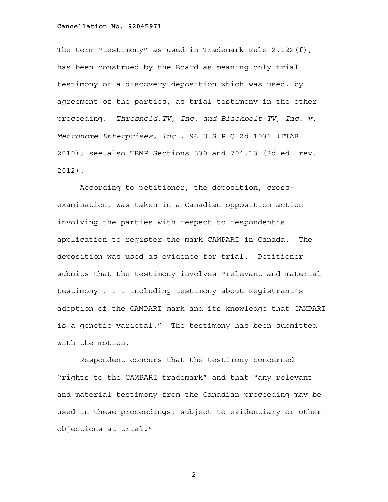The term "testimony" as used in Trademark Rule 2.122(f), has been construed by the Board as meaning only trial testimony or a discovery deposition which was used, by agreement of the parties, as trial testimony in the other proceeding. *Threshold.TV, Inc. and Blackbelt TV, Inc. v. Metronome Enterprises, Inc.*, 96 U.S.P.Q.2d 1031 (TTAB 2010); see also TBMP Sections 530 and 704.13 (3d ed. rev. 2012).

According to petitioner, the deposition, crossexamination, was taken in a Canadian opposition action involving the parties with respect to respondent's application to register the mark CAMPARI in Canada. The deposition was used as evidence for trial. Petitioner submits that the testimony involves "relevant and material testimony . . . including testimony about Registrant's adoption of the CAMPARI mark and its knowledge that CAMPARI is a genetic varietal." The testimony has been submitted with the motion.

Respondent concurs that the testimony concerned "rights to the CAMPARI trademark" and that "any relevant and material testimony from the Canadian proceeding may be used in these proceedings, subject to evidentiary or other objections at trial."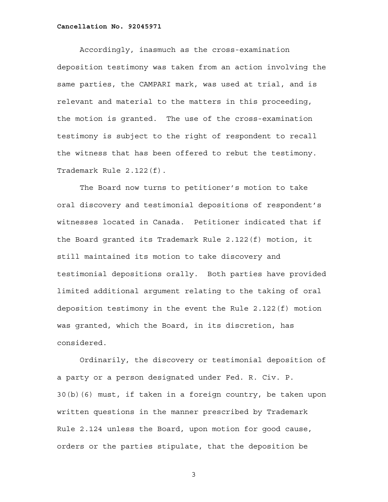Accordingly, inasmuch as the cross-examination deposition testimony was taken from an action involving the same parties, the CAMPARI mark, was used at trial, and is relevant and material to the matters in this proceeding, the motion is granted. The use of the cross-examination testimony is subject to the right of respondent to recall the witness that has been offered to rebut the testimony. Trademark Rule 2.122(f).

The Board now turns to petitioner's motion to take oral discovery and testimonial depositions of respondent's witnesses located in Canada. Petitioner indicated that if the Board granted its Trademark Rule 2.122(f) motion, it still maintained its motion to take discovery and testimonial depositions orally. Both parties have provided limited additional argument relating to the taking of oral deposition testimony in the event the Rule 2.122(f) motion was granted, which the Board, in its discretion, has considered.

Ordinarily, the discovery or testimonial deposition of a party or a person designated under Fed. R. Civ. P. 30(b)(6) must, if taken in a foreign country, be taken upon written questions in the manner prescribed by Trademark Rule 2.124 unless the Board, upon motion for good cause, orders or the parties stipulate, that the deposition be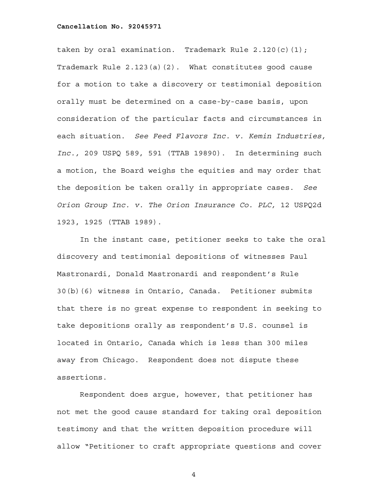taken by oral examination. Trademark Rule 2.120(c)(1); Trademark Rule 2.123(a)(2). What constitutes good cause for a motion to take a discovery or testimonial deposition orally must be determined on a case-by-case basis, upon consideration of the particular facts and circumstances in each situation. *See Feed Flavors Inc. v. Kemin Industries, Inc.,* 209 USPQ 589, 591 (TTAB 19890). In determining such a motion, the Board weighs the equities and may order that the deposition be taken orally in appropriate cases. *See Orion Group Inc. v. The Orion Insurance Co. PLC,* 12 USPQ2d 1923, 1925 (TTAB 1989).

In the instant case, petitioner seeks to take the oral discovery and testimonial depositions of witnesses Paul Mastronardi, Donald Mastronardi and respondent's Rule 30(b)(6) witness in Ontario, Canada. Petitioner submits that there is no great expense to respondent in seeking to take depositions orally as respondent's U.S. counsel is located in Ontario, Canada which is less than 300 miles away from Chicago. Respondent does not dispute these assertions.

Respondent does argue, however, that petitioner has not met the good cause standard for taking oral deposition testimony and that the written deposition procedure will allow "Petitioner to craft appropriate questions and cover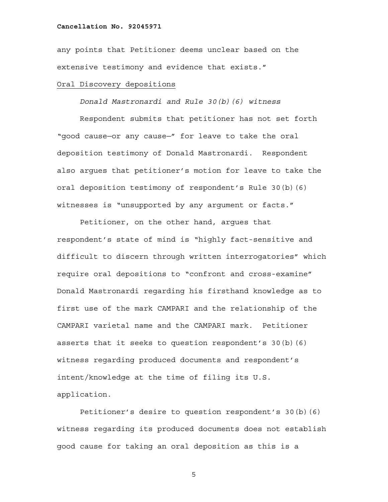any points that Petitioner deems unclear based on the extensive testimony and evidence that exists."

## Oral Discovery depositions

*Donald Mastronardi and Rule 30(b)(6) witness*

Respondent submits that petitioner has not set forth "good cause—or any cause—" for leave to take the oral deposition testimony of Donald Mastronardi. Respondent also argues that petitioner's motion for leave to take the oral deposition testimony of respondent's Rule 30(b)(6) witnesses is "unsupported by any argument or facts."

Petitioner, on the other hand, argues that respondent's state of mind is "highly fact-sensitive and difficult to discern through written interrogatories" which require oral depositions to "confront and cross-examine" Donald Mastronardi regarding his firsthand knowledge as to first use of the mark CAMPARI and the relationship of the CAMPARI varietal name and the CAMPARI mark. Petitioner asserts that it seeks to question respondent's  $30(b)(6)$ witness regarding produced documents and respondent's intent/knowledge at the time of filing its U.S. application.

Petitioner's desire to question respondent's 30(b)(6) witness regarding its produced documents does not establish good cause for taking an oral deposition as this is a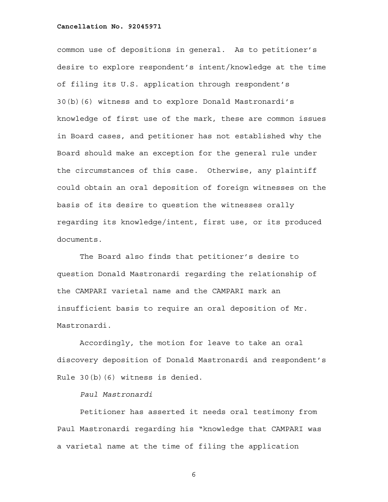common use of depositions in general. As to petitioner's desire to explore respondent's intent/knowledge at the time of filing its U.S. application through respondent's 30(b)(6) witness and to explore Donald Mastronardi's knowledge of first use of the mark, these are common issues in Board cases, and petitioner has not established why the Board should make an exception for the general rule under the circumstances of this case. Otherwise, any plaintiff could obtain an oral deposition of foreign witnesses on the basis of its desire to question the witnesses orally regarding its knowledge/intent, first use, or its produced documents.

The Board also finds that petitioner's desire to question Donald Mastronardi regarding the relationship of the CAMPARI varietal name and the CAMPARI mark an insufficient basis to require an oral deposition of Mr. Mastronardi.

Accordingly, the motion for leave to take an oral discovery deposition of Donald Mastronardi and respondent's Rule 30(b)(6) witness is denied.

# *Paul Mastronardi*

Petitioner has asserted it needs oral testimony from Paul Mastronardi regarding his "knowledge that CAMPARI was a varietal name at the time of filing the application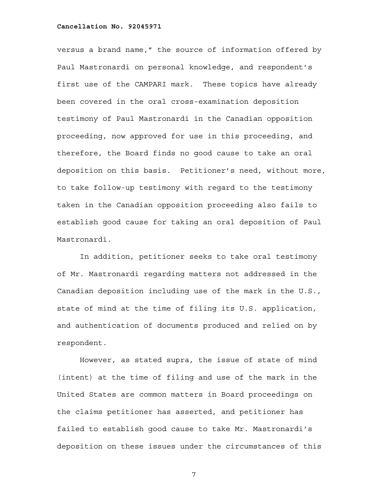versus a brand name," the source of information offered by Paul Mastronardi on personal knowledge, and respondent's first use of the CAMPARI mark. These topics have already been covered in the oral cross-examination deposition testimony of Paul Mastronardi in the Canadian opposition proceeding, now approved for use in this proceeding, and therefore, the Board finds no good cause to take an oral deposition on this basis. Petitioner's need, without more, to take follow-up testimony with regard to the testimony taken in the Canadian opposition proceeding also fails to establish good cause for taking an oral deposition of Paul Mastronardi.

In addition, petitioner seeks to take oral testimony of Mr. Mastronardi regarding matters not addressed in the Canadian deposition including use of the mark in the U.S., state of mind at the time of filing its U.S. application, and authentication of documents produced and relied on by respondent.

However, as stated supra, the issue of state of mind (intent) at the time of filing and use of the mark in the United States are common matters in Board proceedings on the claims petitioner has asserted, and petitioner has failed to establish good cause to take Mr. Mastronardi's deposition on these issues under the circumstances of this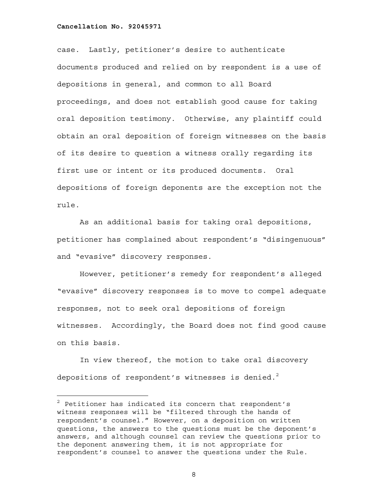—<br>—

case. Lastly, petitioner's desire to authenticate documents produced and relied on by respondent is a use of depositions in general, and common to all Board proceedings, and does not establish good cause for taking oral deposition testimony. Otherwise, any plaintiff could obtain an oral deposition of foreign witnesses on the basis of its desire to question a witness orally regarding its first use or intent or its produced documents. Oral depositions of foreign deponents are the exception not the rule.

As an additional basis for taking oral depositions, petitioner has complained about respondent's "disingenuous" and "evasive" discovery responses.

However, petitioner's remedy for respondent's alleged "evasive" discovery responses is to move to compel adequate responses, not to seek oral depositions of foreign witnesses. Accordingly, the Board does not find good cause on this basis.

In view thereof, the motion to take oral discovery depositions of respondent's witnesses is denied.<sup>2</sup>

 $2$  Petitioner has indicated its concern that respondent's witness responses will be "filtered through the hands of respondent's counsel." However, on a deposition on written questions, the answers to the questions must be the deponent's answers, and although counsel can review the questions prior to the deponent answering them, it is not appropriate for respondent's counsel to answer the questions under the Rule.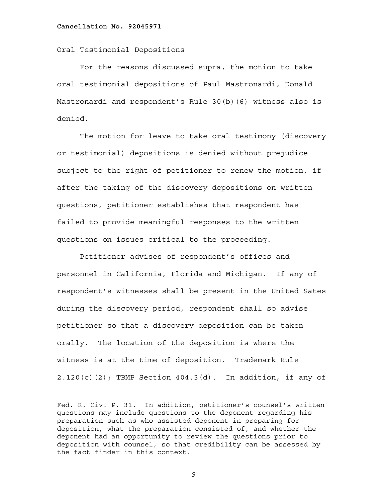i<br>L

### Oral Testimonial Depositions

For the reasons discussed supra, the motion to take oral testimonial depositions of Paul Mastronardi, Donald Mastronardi and respondent's Rule 30(b)(6) witness also is denied.

The motion for leave to take oral testimony (discovery or testimonial) depositions is denied without prejudice subject to the right of petitioner to renew the motion, if after the taking of the discovery depositions on written questions, petitioner establishes that respondent has failed to provide meaningful responses to the written questions on issues critical to the proceeding.

Petitioner advises of respondent's offices and personnel in California, Florida and Michigan. If any of respondent's witnesses shall be present in the United Sates during the discovery period, respondent shall so advise petitioner so that a discovery deposition can be taken orally. The location of the deposition is where the witness is at the time of deposition. Trademark Rule  $2.120(c)(2)$ ; TBMP Section  $404.3(d)$ . In addition, if any of

Fed. R. Civ. P. 31. In addition, petitioner's counsel's written questions may include questions to the deponent regarding his preparation such as who assisted deponent in preparing for deposition, what the preparation consisted of, and whether the deponent had an opportunity to review the questions prior to deposition with counsel, so that credibility can be assessed by the fact finder in this context.